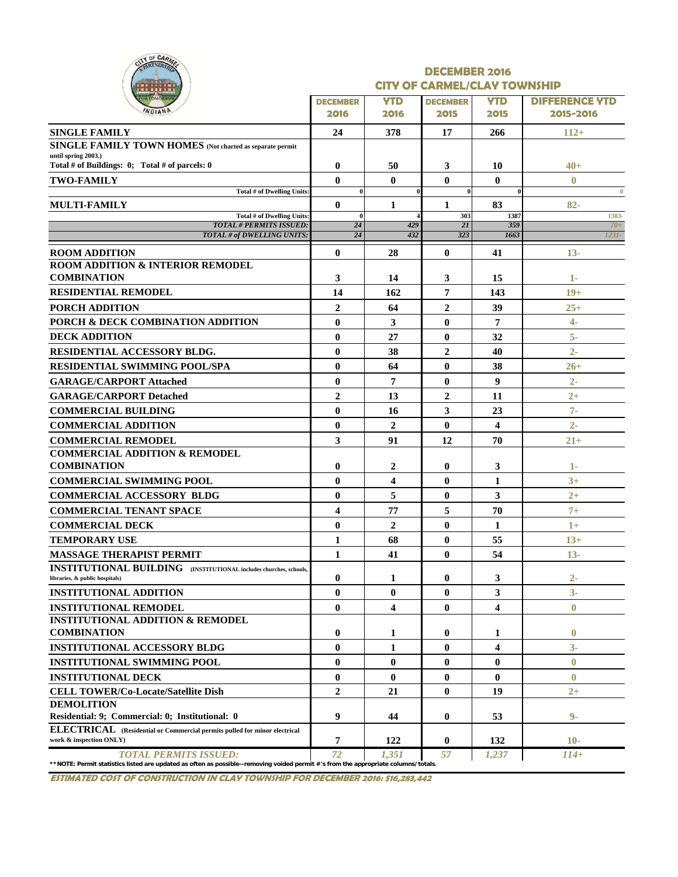|  |              | OF CARMEL |  |
|--|--------------|-----------|--|
|  | . .          |           |  |
|  | <b>TOMOR</b> |           |  |

#### **DECEMBER 2016 CITY OF CARMEL/CLAY TOWNSHIP**

| -------<br><b>OR TOMORROW</b>                                                                                                                                      | <b>DECEMBER</b> | <b>YTD</b>              | __________<br><b>DECEMBER</b> | <b>YTD</b>              | <b>DIFFERENCE YTD</b> |
|--------------------------------------------------------------------------------------------------------------------------------------------------------------------|-----------------|-------------------------|-------------------------------|-------------------------|-----------------------|
| WDIAND                                                                                                                                                             | 2016            | 2016                    | 2015                          | 2015                    | 2015-2016             |
| <b>SINGLE FAMILY</b>                                                                                                                                               | 24              | 378                     | 17                            | 266                     | $112+$                |
| SINGLE FAMILY TOWN HOMES (Not charted as separate permit                                                                                                           |                 |                         |                               |                         |                       |
| until spring 2003.)<br>Total # of Buildings: $0$ ; Total # of parcels: 0                                                                                           | $\bf{0}$        | 50                      | 3                             | 10                      | $40 +$                |
| <b>TWO-FAMILY</b>                                                                                                                                                  | $\mathbf{0}$    | $\mathbf{0}$            | $\bf{0}$                      | $\bf{0}$                | $\bf{0}$              |
| Total # of Dwelling Units:                                                                                                                                         | $\bf{0}$        |                         | $\bf{0}$                      | 0                       | $\bf{0}$              |
| <b>MULTI-FAMILY</b>                                                                                                                                                | $\mathbf{0}$    | 1                       | 1                             | 83                      | $82 -$                |
| Total # of Dwelling Units:                                                                                                                                         | $\mathbf{0}$    |                         | 303                           | 1387                    | 1383-                 |
| <b>TOTAL # PERMITS ISSUED:</b><br><b>TOTAL # of DWELLING UNITS:</b>                                                                                                | 24<br>24        | 429<br>432              | 2I<br>323                     | 359<br>1663             | $70+$<br>1231-        |
|                                                                                                                                                                    |                 |                         |                               |                         |                       |
| <b>ROOM ADDITION</b><br><b>ROOM ADDITION &amp; INTERIOR REMODEL</b>                                                                                                | $\mathbf{0}$    | 28                      | $\bf{0}$                      | 41                      | $13-$                 |
| <b>COMBINATION</b>                                                                                                                                                 | 3               | 14                      | 3                             | 15                      | 1-                    |
| <b>RESIDENTIAL REMODEL</b>                                                                                                                                         | 14              | 162                     | 7                             | 143                     | $19+$                 |
| <b>PORCH ADDITION</b>                                                                                                                                              | $\overline{2}$  | 64                      | $\overline{2}$                | 39                      | $25 +$                |
| PORCH & DECK COMBINATION ADDITION                                                                                                                                  | $\mathbf{0}$    | 3                       | $\bf{0}$                      | 7                       | $4-$                  |
| <b>DECK ADDITION</b>                                                                                                                                               | $\bf{0}$        | 27                      | $\bf{0}$                      | 32                      | $5-$                  |
|                                                                                                                                                                    |                 |                         |                               |                         |                       |
| RESIDENTIAL ACCESSORY BLDG.                                                                                                                                        | $\bf{0}$        | 38                      | $\boldsymbol{2}$              | 40                      | $2-$                  |
| <b>RESIDENTIAL SWIMMING POOL/SPA</b>                                                                                                                               | $\bf{0}$        | 64                      | $\bf{0}$                      | 38                      | $26 +$                |
| <b>GARAGE/CARPORT Attached</b>                                                                                                                                     | $\bf{0}$        | 7                       | $\bf{0}$                      | 9                       | $2 -$                 |
| <b>GARAGE/CARPORT Detached</b>                                                                                                                                     | $\overline{2}$  | 13                      | $\overline{2}$                | 11                      | $2+$                  |
| <b>COMMERCIAL BUILDING</b>                                                                                                                                         | $\bf{0}$        | 16                      | 3                             | 23                      | $7-$                  |
| <b>COMMERCIAL ADDITION</b>                                                                                                                                         | $\bf{0}$        | $\mathbf{2}$            | $\bf{0}$                      | 4                       | $2 -$                 |
| <b>COMMERCIAL REMODEL</b>                                                                                                                                          | 3               | 91                      | 12                            | 70                      | $21 +$                |
| <b>COMMERCIAL ADDITION &amp; REMODEL</b>                                                                                                                           |                 |                         |                               |                         |                       |
| <b>COMBINATION</b>                                                                                                                                                 | $\bf{0}$        | 2                       | 0                             | 3                       | 1-                    |
| <b>COMMERCIAL SWIMMING POOL</b>                                                                                                                                    | $\mathbf{0}$    | $\overline{\mathbf{4}}$ | $\bf{0}$                      | 1                       | $3+$                  |
| <b>COMMERCIAL ACCESSORY BLDG</b>                                                                                                                                   | $\mathbf{0}$    | 5                       | $\bf{0}$                      | 3                       | $2+$                  |
| <b>COMMERCIAL TENANT SPACE</b>                                                                                                                                     | 4               | 77                      | 5                             | 70                      | $7+$                  |
| <b>COMMERCIAL DECK</b>                                                                                                                                             | $\bf{0}$        | $\mathbf{2}$            | $\bf{0}$                      | 1                       | $1+$                  |
| <b>TEMPORARY USE</b>                                                                                                                                               | $\mathbf{1}$    | 68                      | $\bf{0}$                      | 55                      | $13+$                 |
| <b>MASSAGE THERAPIST PERMIT</b>                                                                                                                                    | $\mathbf{1}$    | 41                      | $\bf{0}$                      | 54                      | $13-$                 |
| <b>INSTITUTIONAL BUILDING</b> (INSTITUTIONAL includes churches, schools,<br>libraries, & public hospitals)                                                         | $\bf{0}$        |                         | $\bf{0}$                      |                         | $2-$                  |
| <b>INSTITUTIONAL ADDITION</b>                                                                                                                                      |                 | 1                       |                               | 3                       |                       |
|                                                                                                                                                                    | $\bf{0}$        | $\bf{0}$                | $\bf{0}$                      | 3                       | $3-$                  |
| <b>INSTITUTIONAL REMODEL</b><br><b>INSTITUTIONAL ADDITION &amp; REMODEL</b>                                                                                        | $\bf{0}$        | $\overline{\mathbf{4}}$ | $\bf{0}$                      | 4                       | $\bf{0}$              |
| <b>COMBINATION</b>                                                                                                                                                 | $\bf{0}$        | 1                       | $\bf{0}$                      | 1                       | $\bf{0}$              |
| <b>INSTITUTIONAL ACCESSORY BLDG</b>                                                                                                                                | $\bf{0}$        | 1                       | 0                             | $\overline{\mathbf{4}}$ | $3-$                  |
| <b>INSTITUTIONAL SWIMMING POOL</b>                                                                                                                                 | $\bf{0}$        | $\bf{0}$                | $\bf{0}$                      | 0                       | $\bf{0}$              |
| <b>INSTITUTIONAL DECK</b>                                                                                                                                          | $\bf{0}$        | $\bf{0}$                | $\bf{0}$                      | $\bf{0}$                | $\mathbf{0}$          |
| <b>CELL TOWER/Co-Locate/Satellite Dish</b>                                                                                                                         | $\overline{2}$  | 21                      | $\bf{0}$                      | 19                      | $2+$                  |
| <b>DEMOLITION</b>                                                                                                                                                  |                 |                         |                               |                         |                       |
| Residential: 9; Commercial: 0; Institutional: 0                                                                                                                    | 9               | 44                      | $\bf{0}$                      | 53                      | $9-$                  |
| ELECTRICAL (Residential or Commercial permits pulled for minor electrical<br>work & inspection ONLY)                                                               | $\overline{7}$  | 122                     | $\bf{0}$                      | 132                     | $10-$                 |
| <b>TOTAL PERMITS ISSUED:</b><br>**NOTE: Permit statistics listed are updated as often as possible--removing voided permit #'s from the appropriate columns/totals. | 72              | 1,351                   | 57                            | 1,237                   | $114+$                |

**ESTIMATED COST OF CONSTRUCTION IN CLAY TOWNSHIP FOR DECEMBER 2016: \$16,283,442**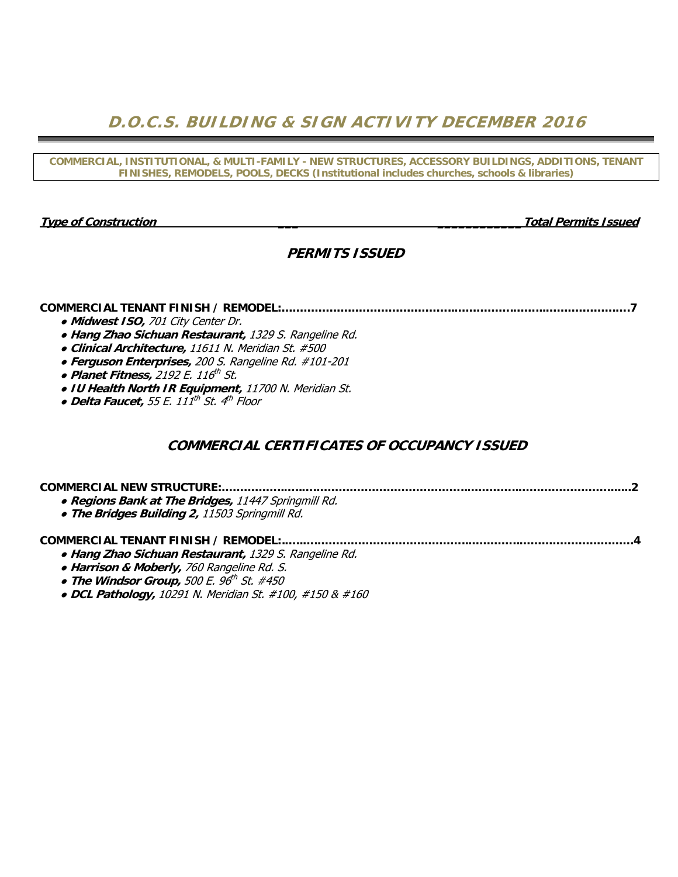**D.O.C.S. BUILDING & SIGN ACTIVITY DECEMBER 2016** 

**COMMERCIAL, INSTITUTIONAL, & MULTI-FAMILY - NEW STRUCTURES, ACCESSORY BUILDINGS, ADDITIONS, TENANT FINISHES, REMODELS, POOLS, DECKS (Institutional includes churches, schools & libraries)** 

**Type of Construction \_\_\_ \_\_\_\_\_\_\_\_\_\_\_\_Total Permits Issued** 

## **PERMITS ISSUED**

#### **COMMERCIAL TENANT FINISH / REMODEL:………………………………………..…………….……...……………….….7**

- **Midwest ISO,** 701 City Center Dr.
- **Hang Zhao Sichuan Restaurant,** 1329 S. Rangeline Rd.
- **Clinical Architecture,** 11611 N. Meridian St. #500
- **Ferguson Enterprises,** 200 S. Rangeline Rd. #101-201
- **Planet Fitness**, 2192 E. 116<sup>th</sup> St.
- **IU Health North IR Equipment,** 11700 N. Meridian St.
- **Delta Faucet,** 55 E. 111th St. 4th Floor

### **COMMERCIAL CERTIFICATES OF OCCUPANCY ISSUED**

## **COMMERCIAL NEW STRUCTURE:……………..…..….…………………………………..…………..…………………….......2**  ● **Regions Bank at The Bridges,** 11447 Springmill Rd. ● **The Bridges Building 2,** 11503 Springmill Rd. **COMMERCIAL TENANT FINISH / REMODEL:.…..….…………………………………..…………..………………………….4**

- **Hang Zhao Sichuan Restaurant,** 1329 S. Rangeline Rd.
- **Harrison & Moberly,** 760 Rangeline Rd. S.
- **The Windsor Group,** 500 E. 96th St. #450
- **DCL Pathology,** 10291 N. Meridian St. #100, #150 & #160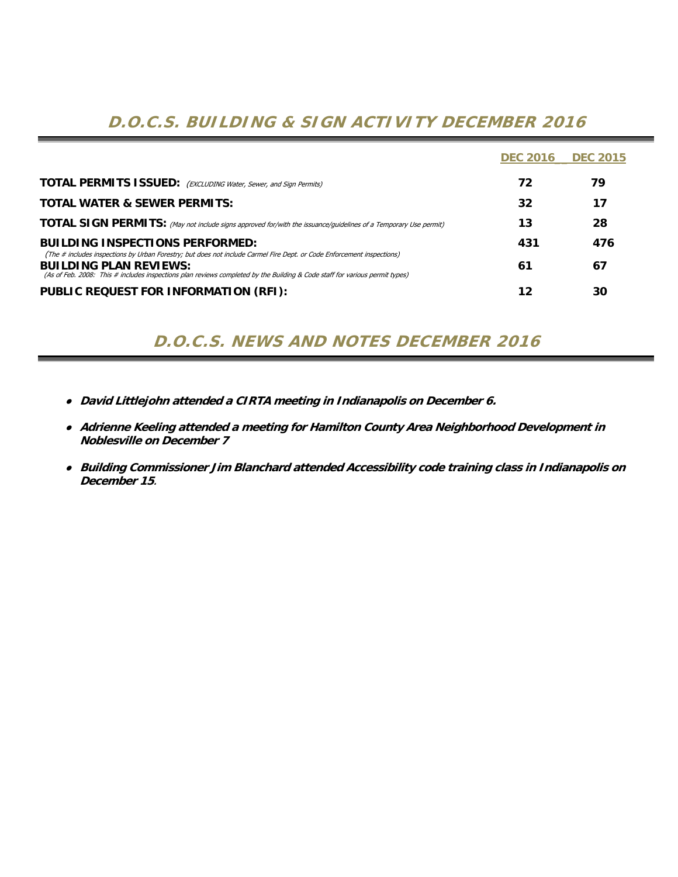# **D.O.C.S. BUILDING & SIGN ACTIVITY DECEMBER 2016**

|                                                                                                                                                                                                                                                                                        | <b>DEC 2016</b> | <b>DEC 2015</b> |
|----------------------------------------------------------------------------------------------------------------------------------------------------------------------------------------------------------------------------------------------------------------------------------------|-----------------|-----------------|
| <b>TOTAL PERMITS ISSUED:</b> (EXCLUDING Water, Sewer, and Sign Permits)                                                                                                                                                                                                                | 72              | 79              |
| <b>TOTAL WATER &amp; SEWER PERMITS:</b>                                                                                                                                                                                                                                                | 32              | 17              |
| <b>TOTAL SIGN PERMITS:</b> (May not include signs approved for/with the issuance/guidelines of a Temporary Use permit)                                                                                                                                                                 | 13              | 28              |
| <b>BUILDING INSPECTIONS PERFORMED:</b>                                                                                                                                                                                                                                                 | 431             | 476             |
| (The # includes inspections by Urban Forestry; but does not include Carmel Fire Dept. or Code Enforcement inspections)<br><b>BUILDING PLAN REVIEWS:</b><br>(As of Feb. 2008: This # includes inspections plan reviews completed by the Building & Code staff for various permit types) | 61              | 67              |
| PUBLIC REQUEST FOR INFORMATION (RFI):                                                                                                                                                                                                                                                  | 12              | 30              |

## **D.O.C.S. NEWS AND NOTES DECEMBER 2016**

- ● **David Littlejohn attended a CIRTA meeting in Indianapolis on December 6.**
- ● **Adrienne Keeling attended a meeting for Hamilton County Area Neighborhood Development in Noblesville on December 7**
- ● **Building Commissioner Jim Blanchard attended Accessibility code training class in Indianapolis on December 15**.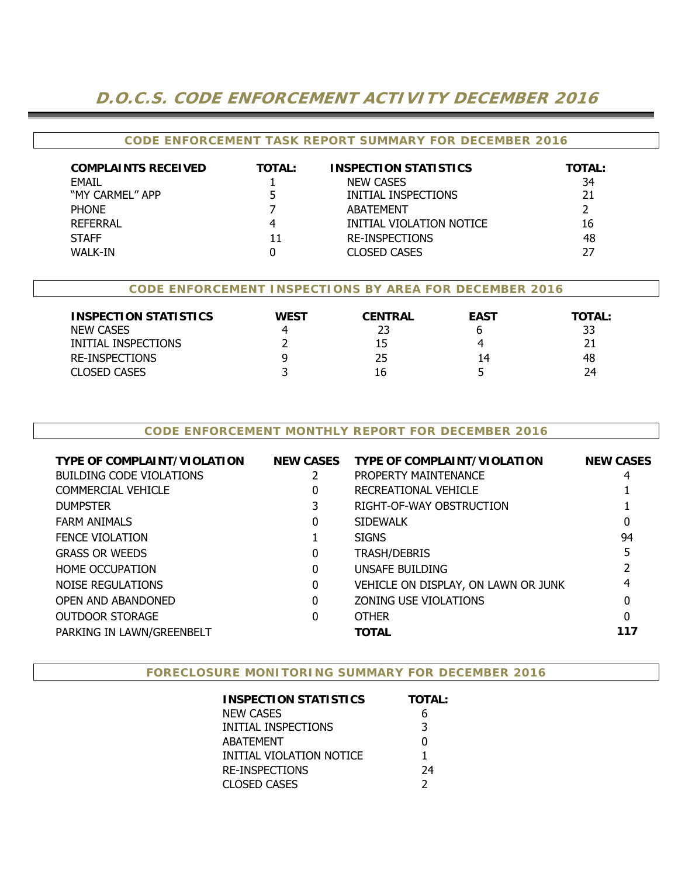## **D.O.C.S. CODE ENFORCEMENT ACTIVITY DECEMBER 2016**

#### **CODE ENFORCEMENT TASK REPORT SUMMARY FOR DECEMBER 2016**

| <b>COMPLAINTS RECEIVED</b> | <b>TOTAL:</b> | <b>INSPECTION STATISTICS</b> | <b>TOTAL:</b> |
|----------------------------|---------------|------------------------------|---------------|
| <b>FMAIL</b>               |               | <b>NEW CASES</b>             | 34            |
| "MY CARMEL" APP            |               | INITIAL INSPECTIONS          | 21            |
| <b>PHONE</b>               |               | <b>ABATEMENT</b>             |               |
| <b>REFERRAL</b>            |               | INITIAL VIOLATION NOTICE     | 16            |
| <b>STAFF</b>               | 11            | <b>RE-INSPECTIONS</b>        | 48            |
| WALK-IN                    |               | CLOSED CASES                 | 27            |

#### **CODE ENFORCEMENT INSPECTIONS BY AREA FOR DECEMBER 2016**

| <b>INSPECTION STATISTICS</b><br><b>NEW CASES</b><br>INITIAL INSPECTIONS<br>RE-INSPECTIONS | WEST | <b>CENTRAL</b><br>23<br>15<br>25 | <b>EAST</b><br>14 | TOTAL:<br>33<br>48 |
|-------------------------------------------------------------------------------------------|------|----------------------------------|-------------------|--------------------|
| <b>CLOSED CASES</b>                                                                       |      | 16                               |                   | 24                 |

#### **CODE ENFORCEMENT MONTHLY REPORT FOR DECEMBER 2016**

| <b>TYPE OF COMPLAINT/VIOLATION</b> | <b>NEW CASES</b> | <b>TYPE OF COMPLAINT/VIOLATION</b>  | <b>NEW CASES</b> |
|------------------------------------|------------------|-------------------------------------|------------------|
| <b>BUILDING CODE VIOLATIONS</b>    | 2                | PROPERTY MAINTENANCE                | 4                |
| <b>COMMERCIAL VEHICLE</b>          | 0                | RECREATIONAL VEHICLE                |                  |
| <b>DUMPSTER</b>                    |                  | RIGHT-OF-WAY OBSTRUCTION            |                  |
| <b>FARM ANIMALS</b>                | 0                | <b>SIDEWALK</b>                     |                  |
| <b>FENCE VIOLATION</b>             |                  | <b>SIGNS</b>                        | 94               |
| <b>GRASS OR WEEDS</b>              | 0                | <b>TRASH/DEBRIS</b>                 |                  |
| <b>HOME OCCUPATION</b>             | $\Omega$         | UNSAFE BUILDING                     |                  |
| NOISE REGULATIONS                  | 0                | VEHICLE ON DISPLAY, ON LAWN OR JUNK |                  |
| <b>OPEN AND ABANDONED</b>          | $\Omega$         | <b>ZONING USE VIOLATIONS</b>        | 0                |
| <b>OUTDOOR STORAGE</b>             | 0                | <b>OTHER</b>                        | 0                |
| PARKING IN LAWN/GREENBELT          |                  | <b>TOTAL</b>                        | 117              |

#### **FORECLOSURE MONITORING SUMMARY FOR DECEMBER 2016**

| <b>INSPECTION STATISTICS</b> | <b>TOTAL:</b> |
|------------------------------|---------------|
| NEW CASES                    | 6             |
| INITIAL INSPECTIONS          | 3             |
| ABATEMENT                    | U             |
| INITIAL VIOLATION NOTICE     | 1             |
| <b>RE-INSPECTIONS</b>        | 24            |
| CLOSED CASES                 |               |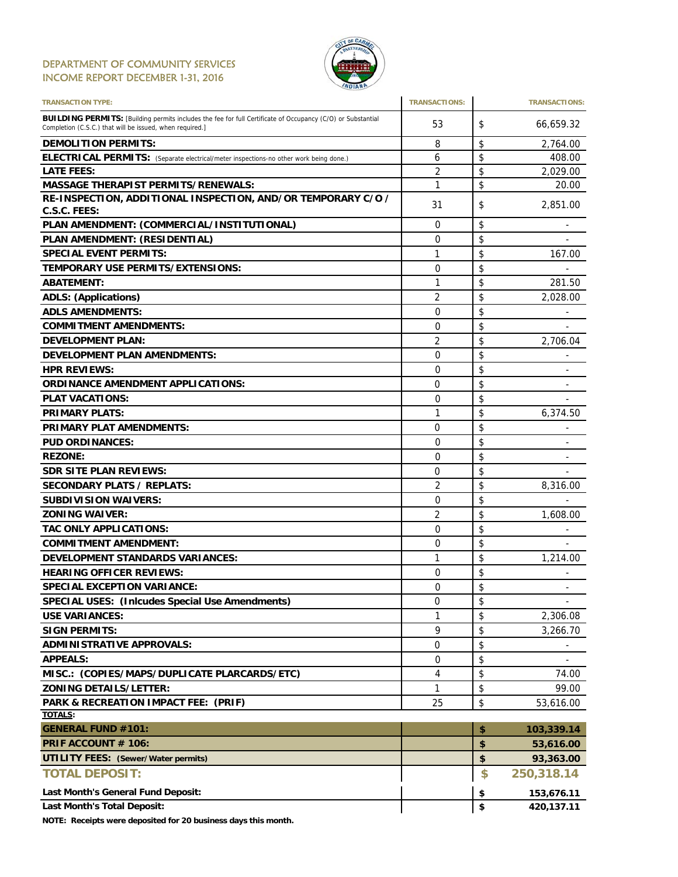#### DEPARTMENT OF COMMUNITY SERVICES INCOME REPORT DECEMBER 1-31, 2016



| <b>TRANSACTION TYPE:</b>                                                                                                                                                       | <b>TRANSACTIONS:</b> | <b>TRANSACTIONS:</b>           |
|--------------------------------------------------------------------------------------------------------------------------------------------------------------------------------|----------------------|--------------------------------|
| <b>BUILDING PERMITS:</b> [Building permits includes the fee for full Certificate of Occupancy (C/O) or Substantial<br>Completion (C.S.C.) that will be issued, when required.] | 53                   | \$<br>66,659.32                |
| <b>DEMOLITION PERMITS:</b>                                                                                                                                                     | 8                    | \$<br>2,764.00                 |
| ELECTRICAL PERMITS: (Separate electrical/meter inspections-no other work being done.)                                                                                          | 6                    | \$<br>408.00                   |
| <b>LATE FEES:</b>                                                                                                                                                              | 2                    | \$<br>2,029.00                 |
| <b>MASSAGE THERAPIST PERMITS/RENEWALS:</b>                                                                                                                                     | 1                    | \$<br>20.00                    |
| RE-INSPECTION, ADDITIONAL INSPECTION, AND/OR TEMPORARY C/O /                                                                                                                   | 31                   | \$<br>2,851.00                 |
| C.S.C. FEES:                                                                                                                                                                   |                      |                                |
| PLAN AMENDMENT: (COMMERCIAL/INSTITUTIONAL)                                                                                                                                     | 0                    | \$                             |
| PLAN AMENDMENT: (RESIDENTIAL)                                                                                                                                                  | 0                    | \$                             |
| <b>SPECIAL EVENT PERMITS:</b>                                                                                                                                                  | 1                    | \$<br>167.00                   |
| TEMPORARY USE PERMITS/EXTENSIONS:                                                                                                                                              | 0                    | \$                             |
| <b>ABATEMENT:</b>                                                                                                                                                              | 1                    | \$<br>281.50                   |
| <b>ADLS: (Applications)</b>                                                                                                                                                    | 2                    | \$<br>2,028.00                 |
| <b>ADLS AMENDMENTS:</b>                                                                                                                                                        | 0                    | \$                             |
| <b>COMMITMENT AMENDMENTS:</b>                                                                                                                                                  | $\Omega$             | \$                             |
| <b>DEVELOPMENT PLAN:</b>                                                                                                                                                       | 2                    | \$<br>2,706.04                 |
| <b>DEVELOPMENT PLAN AMENDMENTS:</b>                                                                                                                                            | 0                    | \$                             |
| <b>HPR REVIEWS:</b>                                                                                                                                                            | 0                    | \$<br>-                        |
| <b>ORDINANCE AMENDMENT APPLICATIONS:</b>                                                                                                                                       | 0                    | \$                             |
| <b>PLAT VACATIONS:</b>                                                                                                                                                         | 0                    | \$                             |
| <b>PRIMARY PLATS:</b>                                                                                                                                                          | 1                    | \$<br>6,374.50                 |
| <b>PRIMARY PLAT AMENDMENTS:</b>                                                                                                                                                | $\Omega$             | \$                             |
| <b>PUD ORDINANCES:</b>                                                                                                                                                         | 0                    | \$                             |
| <b>REZONE:</b>                                                                                                                                                                 | 0                    | \$                             |
|                                                                                                                                                                                |                      | \$<br>$\overline{\phantom{0}}$ |
| <b>SDR SITE PLAN REVIEWS:</b>                                                                                                                                                  | 0                    |                                |
| <b>SECONDARY PLATS / REPLATS:</b>                                                                                                                                              | 2                    | \$<br>8,316.00                 |
| <b>SUBDIVISION WAIVERS:</b>                                                                                                                                                    | 0                    | \$                             |
| <b>ZONING WAIVER:</b>                                                                                                                                                          | 2                    | \$<br>1,608.00                 |
| <b>TAC ONLY APPLICATIONS:</b>                                                                                                                                                  | 0                    | \$                             |
| <b>COMMITMENT AMENDMENT:</b>                                                                                                                                                   | 0                    | \$<br>-                        |
| <b>DEVELOPMENT STANDARDS VARIANCES:</b>                                                                                                                                        | 1                    | \$<br>1,214.00                 |
| <b>HEARING OFFICER REVIEWS:</b>                                                                                                                                                | 0                    | \$                             |
| <b>SPECIAL EXCEPTION VARIANCE:</b>                                                                                                                                             | 0                    | \$<br>$\sim$                   |
| <b>SPECIAL USES: (Inicudes Special Use Amendments)</b>                                                                                                                         | 0                    | \$                             |
| <b>USE VARIANCES:</b>                                                                                                                                                          | 1                    | \$<br>2,306.08                 |
| <b>SIGN PERMITS:</b>                                                                                                                                                           | 9                    | \$<br>3,266.70                 |
| <b>ADMINISTRATIVE APPROVALS:</b>                                                                                                                                               | 0                    | \$                             |
| <b>APPEALS:</b>                                                                                                                                                                | 0                    | \$                             |
| MISC.: (COPIES/MAPS/DUPLICATE PLARCARDS/ETC)                                                                                                                                   | 4                    | \$<br>74.00                    |
| <b>ZONING DETAILS/LETTER:</b>                                                                                                                                                  | 1                    | \$<br>99.00                    |
| PARK & RECREATION IMPACT FEE: (PRIF)                                                                                                                                           | 25                   | \$<br>53,616.00                |
| <b>TOTALS:</b>                                                                                                                                                                 |                      |                                |
| <b>GENERAL FUND #101:</b>                                                                                                                                                      |                      | \$<br>103,339.14               |
| PRIF ACCOUNT # 106:                                                                                                                                                            |                      | \$<br>53,616.00                |
| <b>UTILITY FEES: (Sewer/Water permits)</b>                                                                                                                                     |                      | \$<br>93,363.00                |
| <b>TOTAL DEPOSIT:</b>                                                                                                                                                          |                      | \$<br>250,318.14               |
| Last Month's General Fund Deposit:                                                                                                                                             |                      | \$<br>153,676.11               |
| <b>Last Month's Total Deposit:</b>                                                                                                                                             |                      | \$<br>420,137.11               |

**NOTE: Receipts were deposited for 20 business days this month.**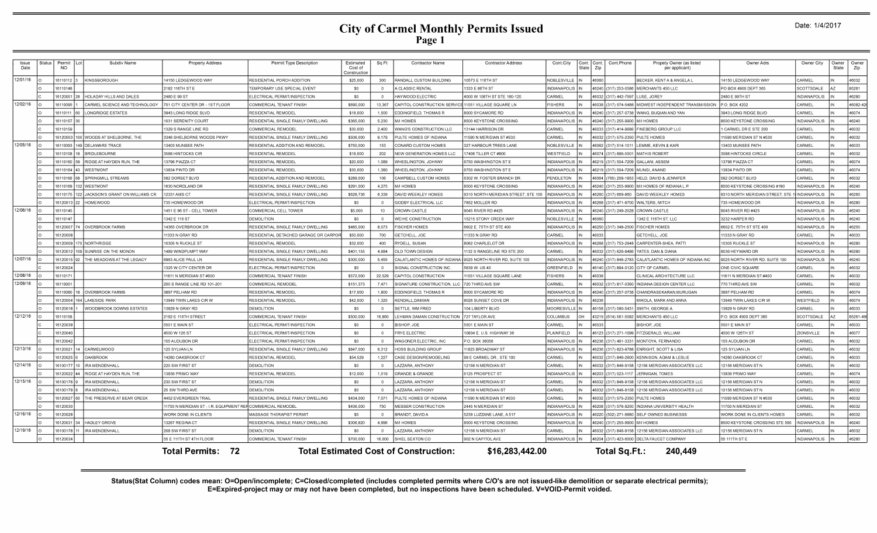# **City of Carmel Monthly Permits Issued<br>Page 1**

| Issue<br>Date | Status | Permit<br><b>NO</b>     | Subdiv Name                         | <b>Property Address</b>                 | Permit Type Description              | Estimated<br>Cost of<br>Constructic | Sq Ft          | <b>Contractor Name</b>                       | <b>Contractor Address</b>           | Cont.City           | :ont. | Cont.<br>Zip | Cont.Phone           | Propety Owner (as listed<br>per applicant) | Owner Adrs                      | Owner City          | Owner<br>State | Owner<br>Zip |
|---------------|--------|-------------------------|-------------------------------------|-----------------------------------------|--------------------------------------|-------------------------------------|----------------|----------------------------------------------|-------------------------------------|---------------------|-------|--------------|----------------------|--------------------------------------------|---------------------------------|---------------------|----------------|--------------|
| 12/01/16      |        | 16110112                | KINGSBOROUGH                        | 14150 LEDGEWOOD WAY                     | RESIDENTIAL PORCH ADDITION           | \$25,000                            | 300            | RANDALL CUSTOM BUILDING                      | 0573 E 116TH ST                     | NOBLESVILLE         |       | 16060        |                      | BECKER, KENT A & ANGELA L                  | 14150 LEDGEWOOD WAY             | CARMEL              |                | 46032        |
|               |        | 16110148                |                                     | 2182 116TH ST E                         | TEMPORARY USE SPECIAL EVENT          | \$0                                 | $\Omega$       | A CLASSIC RENTAL                             | 333 E 86TH ST                       | <b>INDIANAPOLI</b>  |       |              | 46240 (317) 253-0586 | MERCHANTS 450 LLC                          | PO BOX 4900 DEPT 365            | SCOTTSDALE          |                | 85261        |
|               |        |                         | 16120001 28 HOLADAY HILLS AND DALES | 2480 E 99 ST                            | ELECTRICAL PERMIT/INSPECTION         | \$0                                 | $\Omega$       | HAYWOOD ELECTRIC                             | 4000 W 106TH ST STE 160-120         | CARMEL              |       |              | 46032 (317) 442-7597 | LUSE, JOREY                                | 2480 E 99TH ST                  | <b>INDIANAPOLIS</b> |                | 46280        |
| 12/02/16      |        | 16110095                | CARMEL SCIENCE AND TECHNOLOGY       | 701 CITY CENTER DR - 1ST FLOOR          | COMMERCIAL TENANT FINISH             | \$690,000                           | 13.367         | CAPITOL CONSTRUCTION SERVICE                 | 11051 VILLAGE SQUARE LN             | <b>FISHERS</b>      |       |              | 46038 (317) 574-5488 | MIDWEST INDEPENDENT TRANSMISSION           | P.O. BOX 4202                   | CARMEL              |                | 46082-42     |
|               |        | 16110111                | LONGRIDGE ESTATES                   | 3943 LONG RIDGE BLVD                    | RESIDENTIAL REMODE                   | \$18,000                            | 1.500          | EDDINGFIELD, THOMAS R                        | <b>8000 SYCAMORE RD</b>             | <b>INDIANAPOLI</b>  |       |              | 46240 (317) 257-0738 | WANG, BUQIAN AND YAN                       | 3943 LONG RIDGE BLVD            | CARMEL              |                | 46074        |
|               |        | 16110157 3              |                                     | 1031 SERENITY COURT                     | RESIDENTIAL SINGLE FAMILY DWELLING   | \$365,000                           | 5.230          | M/I HOMES                                    | 8500 KEYSTONE CROSSING              | INDIANAPOLI:        |       |              | 46240 (317) 255-9900 | M/I HOMES                                  | 8500 KEYSTONE CROSSING          | <b>NDIANAPOLIS</b>  |                | 46240        |
|               |        | 16110159                |                                     | 1329 S RANGE LINE RD                    | COMMERCIAL REMODEL                   | \$30,000                            | 2.400          | WANG'S CONSTRUCTION LLC                      | 3144 HARRISON DR                    | CARMEI              |       |              | 16033 (317) 414-9686 | FINEBERG GROUP LLC                         | CARMEL DR E STE 200             | CARMEL              |                | 46032        |
|               |        | 16120003                | 100 WOODS AT SHELBORNE. THE         | 3346 SHELBORNE WOODS PKWY               | RESIDENTIAL SINGLE FAMILY DWELLING   | \$506,000                           | 6.179          | PULTE HOMES OF INDIANA                       | 1590 N MERIDIAN ST #530             | CARMEL              |       |              | 46032 (317) 575-2350 | PULTE HOMES                                | 11590 MERIDIAN ST N #530        | CARMEL              |                | 46032        |
| 12/05/16      |        | 16110093                | 149 DELAWARE TRACE                  | 13403 MUNSEE PATH                       | RESIDENTIAL ADDITION AND REMODEL     | \$750,000                           | 153            | CONARD CUSTOM HOMES                          | 327 HARBOUR TREES LANE              | NOBLESVILLI         |       |              | 46062 (317) 514-101  | LEMME, KEVIN & KAR                         | 13403 MUNSEE PATH               | CARMEL              |                | 46033        |
|               |        | 16110108                | BRIDLEBOURNE                        | 3588 HINTOCKS CIF                       | RESIDENTIAL REMODE                   | \$18,000                            | 202            | NEW GENERATION HOMES LLC                     | 406 TILLER CT #800                  | WESTFIELD           |       |              | 16074 (317) 896-5501 | <b>MATHIS ROBERT</b>                       | 3588 HINTOCKS CIRCLE            | CARMEL              |                | 46032        |
|               |        | 16110160                | RIDGE AT HAYDEN RUN, THE            | 13796 PIAZZA CT                         | RESIDENTIAL REMODEI                  | \$20,000                            | 1.089          | WHEELINGTON, JOHNNY                          | <b>3750 WASHINGTON STE</b>          | <b>INDIANAPOLI</b>  |       |              | 46219 (317) 504-7209 | GALLANI, ASSEM                             | 13796 PIAZZA CT                 | CARMEL              |                | 46074        |
|               |        | 16110164                | <b>WESTMONT</b>                     | 13834 PINTO DR                          | RESIDENTIAL REMODEL                  | \$30,000                            | 1,380          | WHEELINGTON, JOHNNY                          | 6750 WASHINGTON ST I                | <b>INDIANAPOLI</b>  |       |              | 46219 (317) 504-7209 | MUNGI, ANAND                               | 13834 PINTO DR                  | CARMEL              |                | 46074        |
|               |        | 1611016                 | SPRINGMILL STREAMS                  | 582 DORSET BLVD                         | RESIDENTIAL ADDITION AND REMODEL     | \$289,000                           | 106            | CAMPBELL CUSTOM HOMES                        | 6302 W. FOSTER BRANCH DR            | PENDLETON           |       |              | 16064 (765) 208-1853 | HELD, DAVID & JENNIFER                     | 582 DORSET BLVD                 | CARMEL              |                | 46032        |
|               |        | 16110169                | 132 WESTMONT                        | 1630 NORDLAND DR                        | RESIDENTIAL SINGLE FAMILY DWELLING   | \$291,000                           | 4.275          | M/I HOMES                                    | <b>3500 KEYSTONE CROSSING</b>       | <b>INDIANAPOL</b>   |       |              | 46240 (317) 255-9900 | M/I HOMES OF INDIANAL.F                    | 8500 KEYSTONE CROSSING #190     | <b>NDIANAPOLIS</b>  |                | 46240        |
|               |        | 16110175                | 122 JACKSON'S GRANT ON WILLIAMS CR  | 12331 AMS CT                            | RESIDENTIAL SINGLE FAMILY DWELLING   | \$628,736                           | 6,339          | DAVID WEEKLEY HOMES                          | 9310 NORTH MERIDIAN STREET, STE 100 | <b>INDIANAPOLI</b>  |       |              | 16260 (317) 669-860  | <b>DAVID WEEKLEY HOMES</b>                 | 9310 NORTH MERIDIAN STREET, STE | <b>NDIANAPOLIS</b>  |                | 46260        |
|               |        | 16120013                | <b>HOMEWOOD</b>                     | 735 HOMEWOOD DF                         | <b>ELECTRICAL PERMIT/INSPECTION</b>  | \$0                                 |                | GODBY ELECTRICAL LLC                         | 852 MOLLER RD                       | NDIANAPOL           |       |              | 16268 (317) 471-870  | VALTERS, MITCH                             | 735 HOMEWOOD DF                 | NDIANAPOLIS         |                | 46280        |
| 12/06/16      |        | 16110145                |                                     | 1451 E 96 ST - CELL TOWER               | COMMERCIAL CELL TOWER                | \$5,000                             | 10             | <b>CROWN CASTLE</b>                          | 9045 RIVER RD #425                  | NDIANAPOLI          |       |              | 46240 (317) 249-2028 | <b>CROWN CASTLE</b>                        | 9045 RIVER RD #425              | NDIANAPOLIS         |                | 46240        |
|               |        | 16110147                |                                     | 1342 E 116 ST                           | DEMOLITION                           | \$0                                 | $\Omega$       | WEIHE CONSTRUCTION                           | 5215 STONY CREEK WAY                | VOBLESVILLI         |       | 16060        |                      | 342 E 116TH ST. LLC                        | 3232 HARPER RD                  | NDIANAPOLIS         |                | 46240        |
|               |        |                         | 16120007 74 OVERBROOK FARMS         | 14365 OVERBROOK DR                      | RESIDENTIAL SINGLE FAMILY DWELLING   | \$485.000                           | 8,073          | <b>ISCHER HOMES</b>                          | 602 E. 75TH ST STE 400              | NDIANAPOLI          |       |              | 16250 (317) 348-2500 | <b>FISCHER HOMES</b>                       | 6602 E. 75TH ST STE 400         | <b>NDIANAPOLIS</b>  |                | 46250        |
|               |        | 6120008                 |                                     | 11333 N GRAY RD                         | RESIDENTIAL DETACHED GARAGE OR CARPO | \$50,000                            | 700            | GETCHELL, JOE                                | 1333 N GRAY RD                      | CARMEL              |       | 6033         |                      | <b>GETCHELL, JOE</b>                       | 1333 N GRAY RD                  | CARMEL              |                | 46033        |
|               |        | 16120009 170 NORTHRIDGE |                                     | 10305 N RUCKLE ST                       | RESIDENTIAL REMODEI                  | \$32,000                            | 400            | RYDELL, SUSAN                                | <b>8062 CHARLELOT DR</b>            | <b>INDIANAPOLI:</b> |       |              | 46268 (317) 753-2948 | CARPENTER-SHEA, PATTI                      | 10305 RUCKLE ST                 | <b>NDIANAPOLIS</b>  |                | 46280        |
|               |        |                         | 16120012 109 SUNRISE ON THE MONON   | 1489 WINDPUMPT WAY                      | RESIDENTIAL SINGLE FAMILY DWELLING   | \$401,155                           | 4,684          | OLD TOWN DESIGN                              | 132 S RANGELINE RD STE 200          | CARMEL              |       |              | 46032 (317) 626-8486 | YATES, DAN & DIANA                         | 8036 HEYWARD DF                 | <b>NDIANAPOLIS</b>  |                | 46280        |
| 12/07/16      |        | 16120015 92             | THE MEADOWS AT THE LEGACY           | 6963 ALICE PAUL LN                      | RESIDENTIAL SINGLE FAMILY DWELLING   | \$300,000                           | 5,455          | CALATLANTIC HOMES OF INDIANA                 | 9025 NORTH RIVER RD, SUITE 100      | <b>INDIANAPOLIS</b> |       |              | 46240 (317) 846-2783 | CALATLANTIC HOMES OF INDIANA INC           | 9025 NORTH RIVER RD, SUITE 100  | <b>NDIANAPOLIS</b>  |                | 46240        |
|               |        | 16120024                |                                     | 1325 W CITY CENTER DR                   | ELECTRICAL PERMIT/INSPECTION         | \$0                                 | $\Omega$       | SIGNAL CONSTRUCTION INC                      | 639 W. US 40                        | GREENFIELD          |       |              | 46140 (317) 894-0120 | CITY OF CARMEL                             | ONE CIVIC SQUARE                | CARMEL              |                | 46032        |
| 12/08/16      |        | 16110171                |                                     | 11611 N MERIDIAN ST #500                | COMMERCIAL TENANT FINISH             | \$572,000                           | 22,529         | CAPITOL CONSTRUCTION                         | 1051 VILLAGE SQUARE LANE            | <b>FISHERS</b>      |       | 16038        |                      | CLINICAL ARCHITECTURE LLC                  | 11611 N MERIDIAN ST #450        | CARMEL              |                | 46032        |
| 12/09/16      |        | 16110001                |                                     | 200 S RANGE LINE RD 101-201             | COMMERCIAL REMODEL                   | \$151,373                           | 7.471          | SIGNATURE CONSTRUCTION. LLC                  | 720 THIRD AVE SW                    | CARMEL              |       |              | 46032 (317) 817-0360 | INDIANA DESIGN CENTER LLC                  | 770 THIRD AVE SW                | CARMEL              |                | 46032        |
|               |        |                         | 16110080 18 OVERBROOK FARMS         | 3897 PELHAM RD                          | RESIDENTIAL REMODEL                  | \$17,000                            | 1.800          | EDDINGFIELD, THOMAS R                        | 8000 SYCAMORE RD                    | <b>INDIANAPOLI</b>  |       |              | 46240 (317) 257-0738 | CHANDRASEKARAN, MURUGAN                    | 3897 PELHAM RD                  | CARMEL              |                | 46074        |
|               |        |                         | 16120004 164 LAKESIDE PARK          | 13949 TWIN LAKES CIR W                  | RESIDENTIAL REMODEL                  | \$42,000                            | 1.325          | <b>KENDALL.DAMIAN</b>                        | 8026 SUNSET COVE DR                 | <b>INDIANAPOLI</b>  |       | 46236        |                      | <b>MIKOLA, MARK AND ANNA</b>               | 13949 TWIN LAKES CIR W          | WESTFIELD           |                | 46074        |
|               |        | 16120018                | <b>WOODBROOK DOWNS ESTATES</b>      | 13829 N GRAY RD                         | DEMOLITION                           | \$0                                 | $\Omega$       | SETTLE, WM FRED                              | 04 LIBERTY BLVD                     | MOORESVILL          |       |              | 46158 (317) 590-5431 | SMITH, GEORGE A                            | 13829 N GRAY RD                 | CARMEL              |                | 46033        |
| 12/12/16      |        | 16110158                |                                     | 2192 E 116TH STREET                     | COMMERCIAL TENANT FINISH             | \$500,000                           | 16.860         | LEHMAN DAMAN CONSTRUCTION                    | 27 TAYLOR AVE                       | <b>COLUMBUS</b>     |       |              | 43219 (614) 561-5082 | MERCHANTS 450 LLC                          | P.O. BOX 4900 DEPT 365          | SCOTTSDALE          |                | 85261-49     |
|               |        | 16120039                |                                     | 5501 E MAIN ST                          | ELECTRICAL PERMIT/INSPECTION         | \$0                                 | $\Omega$       | <b>BISHOP, JOE</b>                           | 5501 E MAIN ST                      | CARMEI              |       | 16033        |                      | <b>ISHOP, JOE</b>                          | 5501 E MAIN ST                  | CARMEL              |                | 46033        |
|               |        | 16120040                |                                     | 4500 W 126 ST                           | ELECTRICAL PERMIT/INSPECTION         | \$0                                 | $\Omega$       | FRYE ELECTRIC                                | 0834 E. U.S. HIGHWAY 36             | PLAINFIELD          |       |              | 46123 (317) 271-1099 | <b>ITZGERALD, WILLIAM</b>                  | 4500 W 126TH ST                 | ZIONSVILLE          |                | 46077        |
|               |        | 16120042                |                                     | 155 AUDUBON DF                          | ELECTRICAL PERMIT/INSPECTION         | \$0                                 | $\Omega$       | WAGONER ELECTRIC, INC.                       | P.O. BOX 36056                      | <b>INDIANAPOL</b>   |       |              | 46236 (317) 491-3331 | MONTOYA, FERNANDO                          | 155 AUDUBON DR                  | CARMEL              |                | 46032        |
| 12/13/16      |        | 16120021                | CARMELWOOD                          | 125 SYLVAN LN                           | RESIDENTIAL SINGLE FAMILY DWELLING   | \$847,000                           | 6.312          | <b>HOSS BUILDING GROUP</b>                   | 1825 BROADWAY ST                    | <b>INDIANAPOLI</b>  |       |              | 46236 (317) 823-978  | ENRIGHT, SCOTT & LISA                      | 125 SYLVAN LN                   | CARMEL              |                | 46032        |
|               |        | 1612002                 | OAKBROOK                            | 14280 OAKBROOK CT                       | <b>RESIDENTIAL REMODE</b>            | \$54,529                            | 1,227          | CASE DESIGN/REMODELING                       | 99 E CARMEL DR., STE 100            | CARMEI              |       |              | 16032 (317) 846-2600 | KENNISON, ADAM & LESLIE                    | 14280 OAKBROOK CT               | CARMEL              |                | 46033        |
| 12/14/16      |        | 1610017                 | <b>IRA MENDENHALL</b>               | 220 SW FIRST ST                         | DEMOLITION                           | \$0                                 | $\overline{0}$ | <b>AZZARA, ANTHONY</b>                       | 2156 N MERIDIAN ST                  | CARMEL              |       |              | 46032 (317) 846-9158 | 12156 MERIDIAN ASSOCIATES LLC              | 12156 MERIDIAN ST N             | CARMEL              |                | 46032        |
|               |        | 6120022                 | RIDGE AT HAYDEN RUN, THE            | 13836 PRIMO WAY                         | RESIDENTIAL REMODE                   | \$12,000                            | 1,019          | <b>GRANDE &amp; GRANDE</b>                   | 125 PROSPECT ST                     | <b>INDIANAPOLI</b>  |       |              | 16203 (317) 523-111  | <b>JERNIGAN, TOMES</b>                     | 13836 PRIMO WAY                 | CARMEL              |                | 46074        |
| 12/15/16      |        | 16100176                | <b>IRA MENDENHALL</b>               | 230 SW FIRST ST                         | DEMOLITION                           | \$0                                 | $\Omega$       | AZZARA, ANTHONY                              | 2156 N MERIDIAN ST                  | CARMEL              |       |              | 16032 (317) 846-915  | 2156 MERIDIAN ASSOCIATES LLC               | 12156 MERIDIAN ST N             | CARMEL              |                | 46032        |
|               |        | 16100179                | <b>IRA MENDENHALL</b>               | 25 SW THIRD AVE                         | DEMOLITION                           | \$0                                 | $\Omega$       | LAZZARA, ANTHONY                             | 2156 N MERIDIAN ST                  | <b>ARMEL</b>        |       |              | 16032 (317) 846-9158 | <b>2156 MERIDIAN ASSOCIATES LLC</b>        | 12156 MERIDIAN ST N             | CARMEI              |                | 46032        |
|               |        | 6120027                 | THE PRESERVE AT BEAR CREEK          | 4452 EVERGREEN TRAIL                    | RESIDENTIAL SINGLE FAMILY DWELLING   | \$434.000                           | 7.071          | PULTE HOMES OF INDIANA                       | 590 N MERIDIAN ST #530              | CARMEL              |       |              | 16032 (317) 575-2350 | ULTE HOMES                                 | 1590 MERIDIAN ST N #530         | CARMEL              |                | 46032        |
|               |        | 6120030                 |                                     | 11700 N MERIDIAN ST - I.R. EQUIPMENT RE | COMMERCIAL REMODEL                   | \$436.000                           | 750            | <b>MESSER CONSTRUCTION</b>                   | 2445 N MERIDIAN ST                  | NDIANAPOLI:         |       |              | 16208 (317) 576-9250 | INDIANA UNIVERSITY HEALTH                  | 1700 N MERIDIAN ST              | CARMEL              |                | 46032        |
| 12/16/16      |        | 16120028                |                                     | WORK DONE IN CLIENTS                    | MASSAGE THERAPIST PERMIT             | \$0                                 | $\Omega$       | BRANDT, DAVID A                              | 5239 LUZZANE LANE, A 517            | <b>INDIANAPOLI</b>  |       |              | 16220 (502) 271-9880 | SELF OWNED BUSINESSS                       | VORK DONE IN CLIENTS HOMES      | CARMEL              |                | 46032        |
|               |        | 16120031 34             | HADLEY GROVE                        | 13267 REGINA CT                         | RESIDENTIAL SINGLE FAMILY DWELLING   | \$306,820                           | 4,996          | M/I HOMES                                    | <b>3500 KEYSTONE CROSSING</b>       | NDIANAPOLI          |       |              | 46240 (317) 255-9900 | M/LHOMES                                   | 8500 KEYSTONE CROSSING STE 590  | <b>NDIANAPOLIS</b>  |                | 46240        |
| 12/19/16      |        | 16100178 1              | IRA MENDENHALL                      | 208 SW FIRST ST                         | DEMOLITION                           | \$0                                 | $\Omega$       | LAZZARA, ANTHONY                             | 12156 N MERIDIAN ST                 | CARMEL              |       |              | 16032 (317) 846-9158 | 12156 MERIDIAN ASSOCIATES LLC              | 12156 MERIDIAN ST N             | CARMEL              |                | 46032        |
|               |        | 16120034                |                                     | 55 E 111TH ST 4TH FLOOR                 | COMMERCIAL TENANT FINISH             | \$700,000                           | 16.000         | SHIEL SEXTON CO                              | 902 N CAPITOL AVE                   | INDIANAPOLIS IN     |       |              |                      | 46204 (317) 423-6000 DELTA FAUCET COMPANY  | 55 111TH ST E                   | <b>INDIANAPOLIS</b> |                | 46280        |
|               |        |                         |                                     | <b>Total Permits: 72</b>                |                                      |                                     |                | <b>Total Estimated Cost of Construction:</b> | \$16,283,442.00                     |                     |       |              | Total Sq.Ft.:        | 240.449                                    |                                 |                     |                |              |

Status(Stat Column) codes mean: O=Open/incomplete; C=Closed/completed (includes completed permits where C/O's are not issued-like demolition or separate electrical permits);<br>E=Expired-project may or may not have been compl